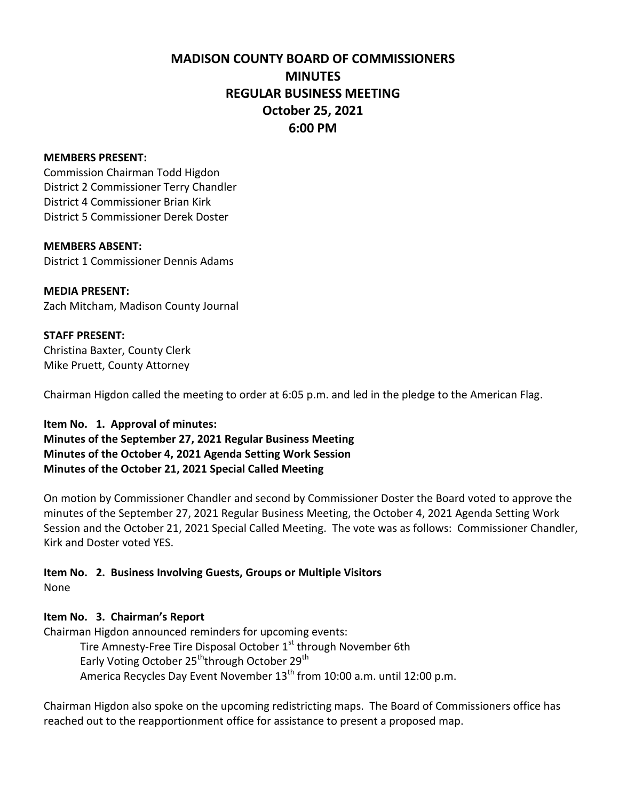## **MADISON COUNTY BOARD OF COMMISSIONERS MINUTES REGULAR BUSINESS MEETING October 25, 2021 6:00 PM**

#### **MEMBERS PRESENT:**

Commission Chairman Todd Higdon District 2 Commissioner Terry Chandler District 4 Commissioner Brian Kirk District 5 Commissioner Derek Doster

#### **MEMBERS ABSENT:**

District 1 Commissioner Dennis Adams

**MEDIA PRESENT:** Zach Mitcham, Madison County Journal

#### **STAFF PRESENT:**

Christina Baxter, County Clerk Mike Pruett, County Attorney

Chairman Higdon called the meeting to order at 6:05 p.m. and led in the pledge to the American Flag.

#### **Item No. 1. Approval of minutes:**

**Minutes of the September 27, 2021 Regular Business Meeting Minutes of the October 4, 2021 Agenda Setting Work Session Minutes of the October 21, 2021 Special Called Meeting**

On motion by Commissioner Chandler and second by Commissioner Doster the Board voted to approve the minutes of the September 27, 2021 Regular Business Meeting, the October 4, 2021 Agenda Setting Work Session and the October 21, 2021 Special Called Meeting. The vote was as follows: Commissioner Chandler, Kirk and Doster voted YES.

# **Item No. 2. Business Involving Guests, Groups or Multiple Visitors**

None

#### **Item No. 3. Chairman's Report**

Chairman Higdon announced reminders for upcoming events: Tire Amnesty-Free Tire Disposal October 1<sup>st</sup> through November 6th Early Voting October 25<sup>th</sup>through October 29<sup>th</sup> America Recycles Day Event November 13<sup>th</sup> from 10:00 a.m. until 12:00 p.m.

Chairman Higdon also spoke on the upcoming redistricting maps. The Board of Commissioners office has reached out to the reapportionment office for assistance to present a proposed map.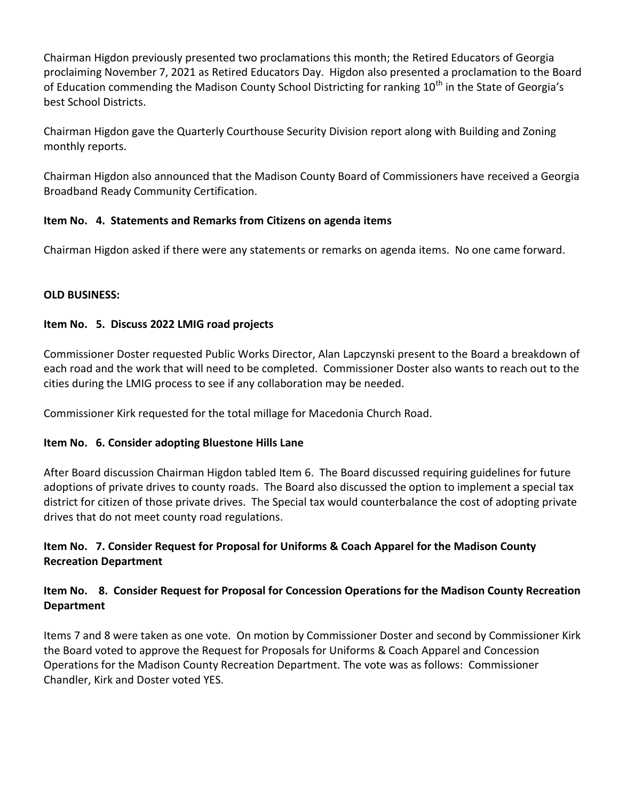Chairman Higdon previously presented two proclamations this month; the Retired Educators of Georgia proclaiming November 7, 2021 as Retired Educators Day. Higdon also presented a proclamation to the Board of Education commending the Madison County School Districting for ranking 10<sup>th</sup> in the State of Georgia's best School Districts.

Chairman Higdon gave the Quarterly Courthouse Security Division report along with Building and Zoning monthly reports.

Chairman Higdon also announced that the Madison County Board of Commissioners have received a Georgia Broadband Ready Community Certification.

## **Item No. 4. Statements and Remarks from Citizens on agenda items**

Chairman Higdon asked if there were any statements or remarks on agenda items. No one came forward.

## **OLD BUSINESS:**

## **Item No. 5. Discuss 2022 LMIG road projects**

Commissioner Doster requested Public Works Director, Alan Lapczynski present to the Board a breakdown of each road and the work that will need to be completed. Commissioner Doster also wants to reach out to the cities during the LMIG process to see if any collaboration may be needed.

Commissioner Kirk requested for the total millage for Macedonia Church Road.

## **Item No. 6. Consider adopting Bluestone Hills Lane**

After Board discussion Chairman Higdon tabled Item 6. The Board discussed requiring guidelines for future adoptions of private drives to county roads. The Board also discussed the option to implement a special tax district for citizen of those private drives. The Special tax would counterbalance the cost of adopting private drives that do not meet county road regulations.

## **Item No. 7. Consider Request for Proposal for Uniforms & Coach Apparel for the Madison County Recreation Department**

## **Item No. 8. Consider Request for Proposal for Concession Operations for the Madison County Recreation Department**

Items 7 and 8 were taken as one vote. On motion by Commissioner Doster and second by Commissioner Kirk the Board voted to approve the Request for Proposals for Uniforms & Coach Apparel and Concession Operations for the Madison County Recreation Department. The vote was as follows: Commissioner Chandler, Kirk and Doster voted YES.